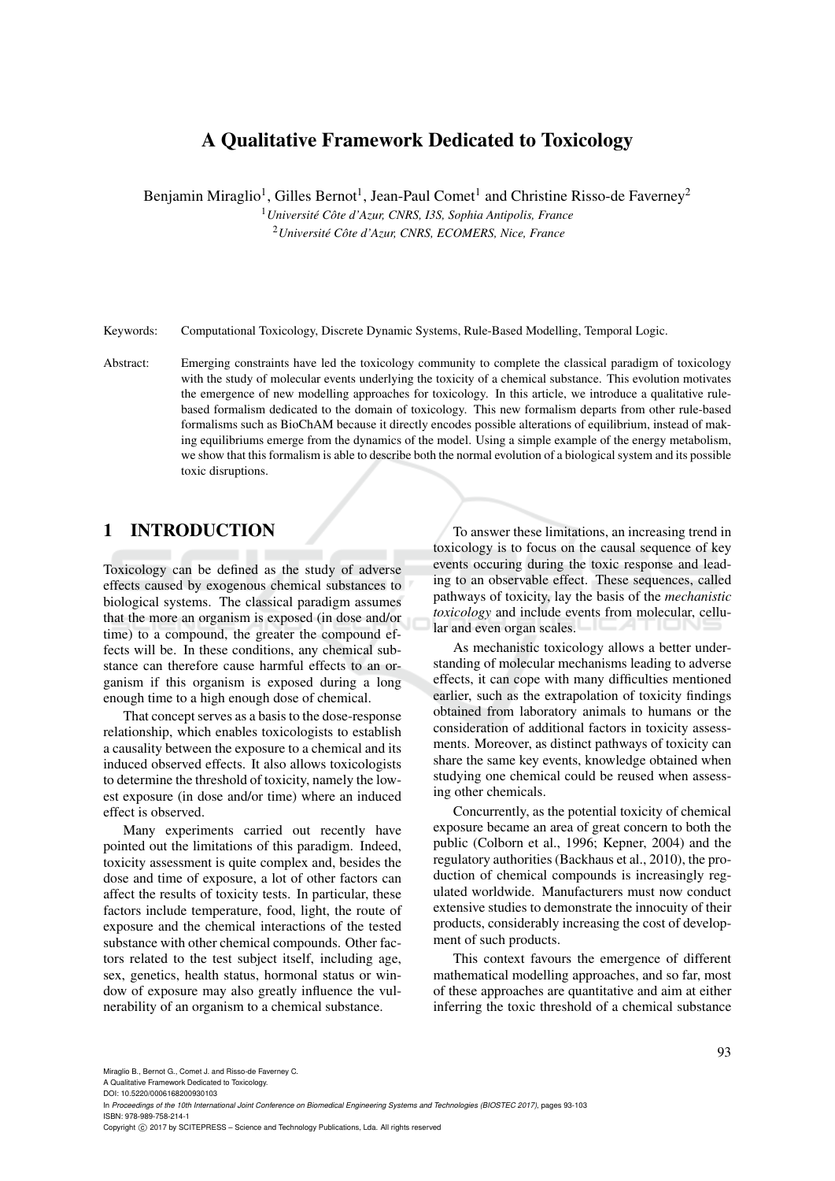# A Qualitative Framework Dedicated to Toxicology

Benjamin Miraglio<sup>1</sup>, Gilles Bernot<sup>1</sup>, Jean-Paul Comet<sup>1</sup> and Christine Risso-de Faverney<sup>2</sup>

<sup>1</sup> Université Côte d'Azur, CNRS, I3S, Sophia Antipolis, France

<sup>2</sup>*Universite C´ ote d'Azur, CNRS, ECOMERS, Nice, France ˆ*

Keywords: Computational Toxicology, Discrete Dynamic Systems, Rule-Based Modelling, Temporal Logic.

Abstract: Emerging constraints have led the toxicology community to complete the classical paradigm of toxicology with the study of molecular events underlying the toxicity of a chemical substance. This evolution motivates the emergence of new modelling approaches for toxicology. In this article, we introduce a qualitative rulebased formalism dedicated to the domain of toxicology. This new formalism departs from other rule-based formalisms such as BioChAM because it directly encodes possible alterations of equilibrium, instead of making equilibriums emerge from the dynamics of the model. Using a simple example of the energy metabolism, we show that this formalism is able to describe both the normal evolution of a biological system and its possible toxic disruptions.

## 1 INTRODUCTION

Toxicology can be defined as the study of adverse effects caused by exogenous chemical substances to biological systems. The classical paradigm assumes that the more an organism is exposed (in dose and/or time) to a compound, the greater the compound effects will be. In these conditions, any chemical substance can therefore cause harmful effects to an organism if this organism is exposed during a long enough time to a high enough dose of chemical.

That concept serves as a basis to the dose-response relationship, which enables toxicologists to establish a causality between the exposure to a chemical and its induced observed effects. It also allows toxicologists to determine the threshold of toxicity, namely the lowest exposure (in dose and/or time) where an induced effect is observed.

Many experiments carried out recently have pointed out the limitations of this paradigm. Indeed, toxicity assessment is quite complex and, besides the dose and time of exposure, a lot of other factors can affect the results of toxicity tests. In particular, these factors include temperature, food, light, the route of exposure and the chemical interactions of the tested substance with other chemical compounds. Other factors related to the test subject itself, including age, sex, genetics, health status, hormonal status or window of exposure may also greatly influence the vulnerability of an organism to a chemical substance.

To answer these limitations, an increasing trend in toxicology is to focus on the causal sequence of key events occuring during the toxic response and leading to an observable effect. These sequences, called pathways of toxicity, lay the basis of the *mechanistic toxicology* and include events from molecular, cellular and even organ scales.

As mechanistic toxicology allows a better understanding of molecular mechanisms leading to adverse effects, it can cope with many difficulties mentioned earlier, such as the extrapolation of toxicity findings obtained from laboratory animals to humans or the consideration of additional factors in toxicity assessments. Moreover, as distinct pathways of toxicity can share the same key events, knowledge obtained when studying one chemical could be reused when assessing other chemicals.

Concurrently, as the potential toxicity of chemical exposure became an area of great concern to both the public (Colborn et al., 1996; Kepner, 2004) and the regulatory authorities (Backhaus et al., 2010), the production of chemical compounds is increasingly regulated worldwide. Manufacturers must now conduct extensive studies to demonstrate the innocuity of their products, considerably increasing the cost of development of such products.

This context favours the emergence of different mathematical modelling approaches, and so far, most of these approaches are quantitative and aim at either inferring the toxic threshold of a chemical substance

A Qualitative Framework Dedicated to Toxicology. DOI: 10.5220/0006168200930103

Copyright © 2017 by SCITEPRESS - Science and Technology Publications, Lda. All rights reserved

In *Proceedings of the 10th International Joint Conference on Biomedical Engineering Systems and Technologies (BIOSTEC 2017)*, pages 93-103 ISBN: 978-989-758-214-1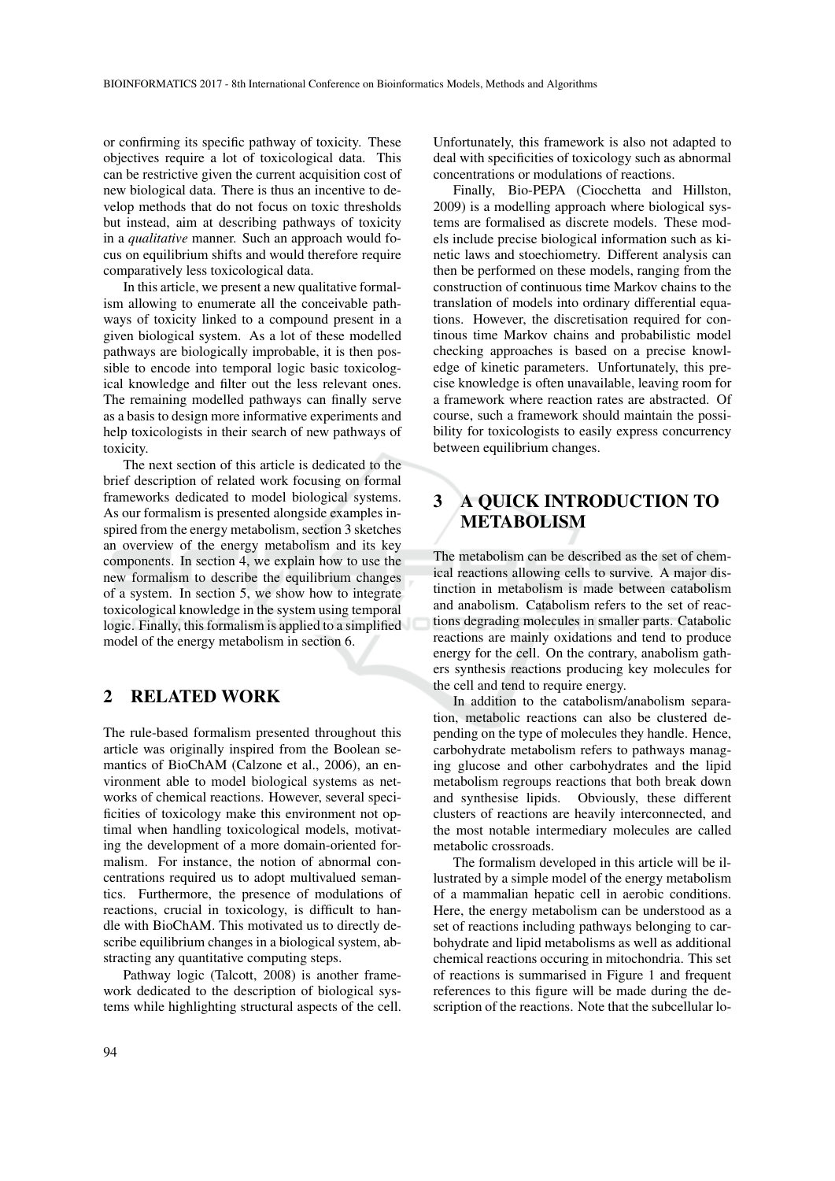or confirming its specific pathway of toxicity. These objectives require a lot of toxicological data. This can be restrictive given the current acquisition cost of new biological data. There is thus an incentive to develop methods that do not focus on toxic thresholds but instead, aim at describing pathways of toxicity in a *qualitative* manner. Such an approach would focus on equilibrium shifts and would therefore require comparatively less toxicological data.

In this article, we present a new qualitative formalism allowing to enumerate all the conceivable pathways of toxicity linked to a compound present in a given biological system. As a lot of these modelled pathways are biologically improbable, it is then possible to encode into temporal logic basic toxicological knowledge and filter out the less relevant ones. The remaining modelled pathways can finally serve as a basis to design more informative experiments and help toxicologists in their search of new pathways of toxicity.

The next section of this article is dedicated to the brief description of related work focusing on formal frameworks dedicated to model biological systems. As our formalism is presented alongside examples inspired from the energy metabolism, section 3 sketches an overview of the energy metabolism and its key components. In section 4, we explain how to use the new formalism to describe the equilibrium changes of a system. In section 5, we show how to integrate toxicological knowledge in the system using temporal logic. Finally, this formalism is applied to a simplified model of the energy metabolism in section 6.

### 2 RELATED WORK

The rule-based formalism presented throughout this article was originally inspired from the Boolean semantics of BioChAM (Calzone et al., 2006), an environment able to model biological systems as networks of chemical reactions. However, several specificities of toxicology make this environment not optimal when handling toxicological models, motivating the development of a more domain-oriented formalism. For instance, the notion of abnormal concentrations required us to adopt multivalued semantics. Furthermore, the presence of modulations of reactions, crucial in toxicology, is difficult to handle with BioChAM. This motivated us to directly describe equilibrium changes in a biological system, abstracting any quantitative computing steps.

Pathway logic (Talcott, 2008) is another framework dedicated to the description of biological systems while highlighting structural aspects of the cell. Unfortunately, this framework is also not adapted to deal with specificities of toxicology such as abnormal concentrations or modulations of reactions.

Finally, Bio-PEPA (Ciocchetta and Hillston, 2009) is a modelling approach where biological systems are formalised as discrete models. These models include precise biological information such as kinetic laws and stoechiometry. Different analysis can then be performed on these models, ranging from the construction of continuous time Markov chains to the translation of models into ordinary differential equations. However, the discretisation required for continous time Markov chains and probabilistic model checking approaches is based on a precise knowledge of kinetic parameters. Unfortunately, this precise knowledge is often unavailable, leaving room for a framework where reaction rates are abstracted. Of course, such a framework should maintain the possibility for toxicologists to easily express concurrency between equilibrium changes.

# 3 A QUICK INTRODUCTION TO METABOLISM

The metabolism can be described as the set of chemical reactions allowing cells to survive. A major distinction in metabolism is made between catabolism and anabolism. Catabolism refers to the set of reactions degrading molecules in smaller parts. Catabolic reactions are mainly oxidations and tend to produce energy for the cell. On the contrary, anabolism gathers synthesis reactions producing key molecules for the cell and tend to require energy.

In addition to the catabolism/anabolism separation, metabolic reactions can also be clustered depending on the type of molecules they handle. Hence, carbohydrate metabolism refers to pathways managing glucose and other carbohydrates and the lipid metabolism regroups reactions that both break down and synthesise lipids. Obviously, these different clusters of reactions are heavily interconnected, and the most notable intermediary molecules are called metabolic crossroads.

The formalism developed in this article will be illustrated by a simple model of the energy metabolism of a mammalian hepatic cell in aerobic conditions. Here, the energy metabolism can be understood as a set of reactions including pathways belonging to carbohydrate and lipid metabolisms as well as additional chemical reactions occuring in mitochondria. This set of reactions is summarised in Figure 1 and frequent references to this figure will be made during the description of the reactions. Note that the subcellular lo-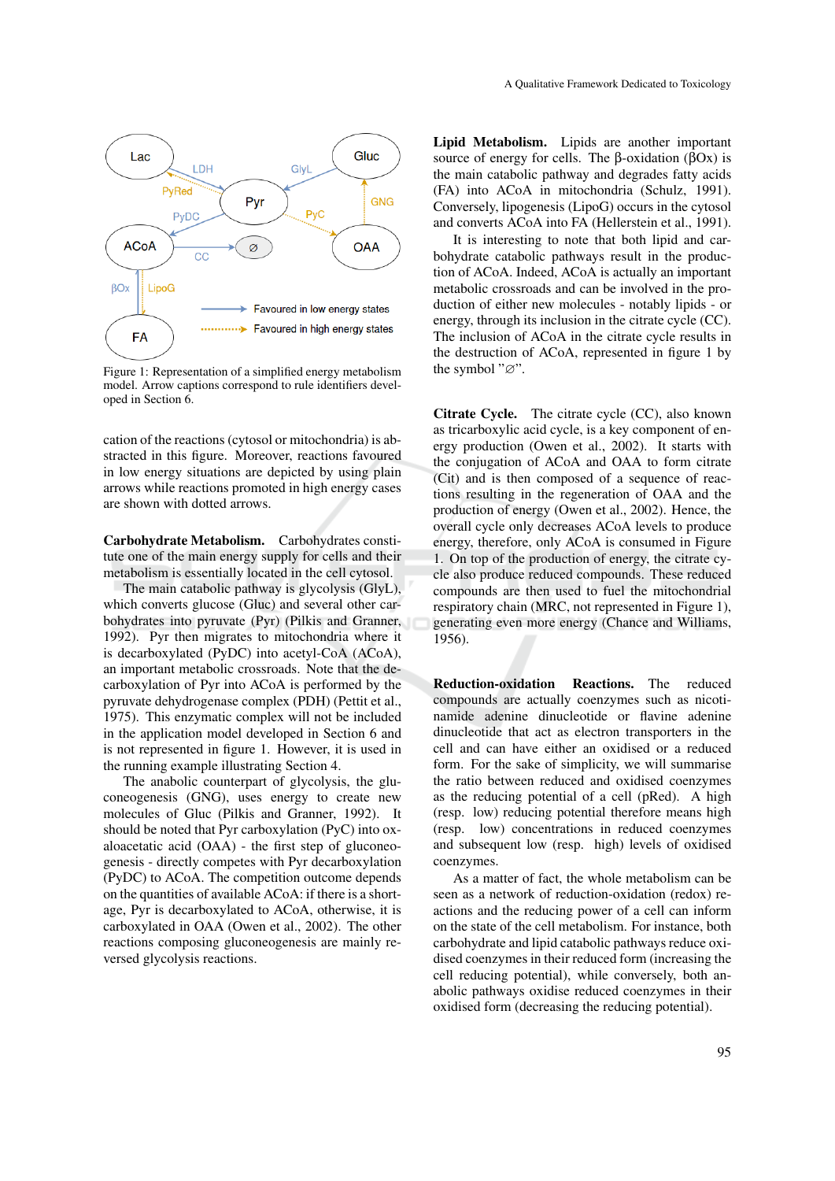

Figure 1: Representation of a simplified energy metabolism model. Arrow captions correspond to rule identifiers developed in Section 6.

cation of the reactions (cytosol or mitochondria) is abstracted in this figure. Moreover, reactions favoured in low energy situations are depicted by using plain arrows while reactions promoted in high energy cases are shown with dotted arrows.

Carbohydrate Metabolism. Carbohydrates constitute one of the main energy supply for cells and their metabolism is essentially located in the cell cytosol.

The main catabolic pathway is glycolysis (GlyL), which converts glucose (Gluc) and several other carbohydrates into pyruvate (Pyr) (Pilkis and Granner, 1992). Pyr then migrates to mitochondria where it is decarboxylated (PyDC) into acetyl-CoA (ACoA), an important metabolic crossroads. Note that the decarboxylation of Pyr into ACoA is performed by the pyruvate dehydrogenase complex (PDH) (Pettit et al., 1975). This enzymatic complex will not be included in the application model developed in Section 6 and is not represented in figure 1. However, it is used in the running example illustrating Section 4.

The anabolic counterpart of glycolysis, the gluconeogenesis (GNG), uses energy to create new molecules of Gluc (Pilkis and Granner, 1992). It should be noted that Pyr carboxylation (PyC) into oxaloacetatic acid (OAA) - the first step of gluconeogenesis - directly competes with Pyr decarboxylation (PyDC) to ACoA. The competition outcome depends on the quantities of available ACoA: if there is a shortage, Pyr is decarboxylated to ACoA, otherwise, it is carboxylated in OAA (Owen et al., 2002). The other reactions composing gluconeogenesis are mainly reversed glycolysis reactions.

Lipid Metabolism. Lipids are another important source of energy for cells. The β-oxidation ( $β$ Ox) is the main catabolic pathway and degrades fatty acids (FA) into ACoA in mitochondria (Schulz, 1991). Conversely, lipogenesis (LipoG) occurs in the cytosol and converts ACoA into FA (Hellerstein et al., 1991).

It is interesting to note that both lipid and carbohydrate catabolic pathways result in the production of ACoA. Indeed, ACoA is actually an important metabolic crossroads and can be involved in the production of either new molecules - notably lipids - or energy, through its inclusion in the citrate cycle (CC). The inclusion of ACoA in the citrate cycle results in the destruction of ACoA, represented in figure 1 by the symbol "∅".

Citrate Cycle. The citrate cycle (CC), also known as tricarboxylic acid cycle, is a key component of energy production (Owen et al., 2002). It starts with the conjugation of ACoA and OAA to form citrate (Cit) and is then composed of a sequence of reactions resulting in the regeneration of OAA and the production of energy (Owen et al., 2002). Hence, the overall cycle only decreases ACoA levels to produce energy, therefore, only ACoA is consumed in Figure 1. On top of the production of energy, the citrate cycle also produce reduced compounds. These reduced compounds are then used to fuel the mitochondrial respiratory chain (MRC, not represented in Figure 1), generating even more energy (Chance and Williams, 1956).

Reduction-oxidation Reactions. The reduced compounds are actually coenzymes such as nicotinamide adenine dinucleotide or flavine adenine dinucleotide that act as electron transporters in the cell and can have either an oxidised or a reduced form. For the sake of simplicity, we will summarise the ratio between reduced and oxidised coenzymes as the reducing potential of a cell (pRed). A high (resp. low) reducing potential therefore means high (resp. low) concentrations in reduced coenzymes and subsequent low (resp. high) levels of oxidised coenzymes.

As a matter of fact, the whole metabolism can be seen as a network of reduction-oxidation (redox) reactions and the reducing power of a cell can inform on the state of the cell metabolism. For instance, both carbohydrate and lipid catabolic pathways reduce oxidised coenzymes in their reduced form (increasing the cell reducing potential), while conversely, both anabolic pathways oxidise reduced coenzymes in their oxidised form (decreasing the reducing potential).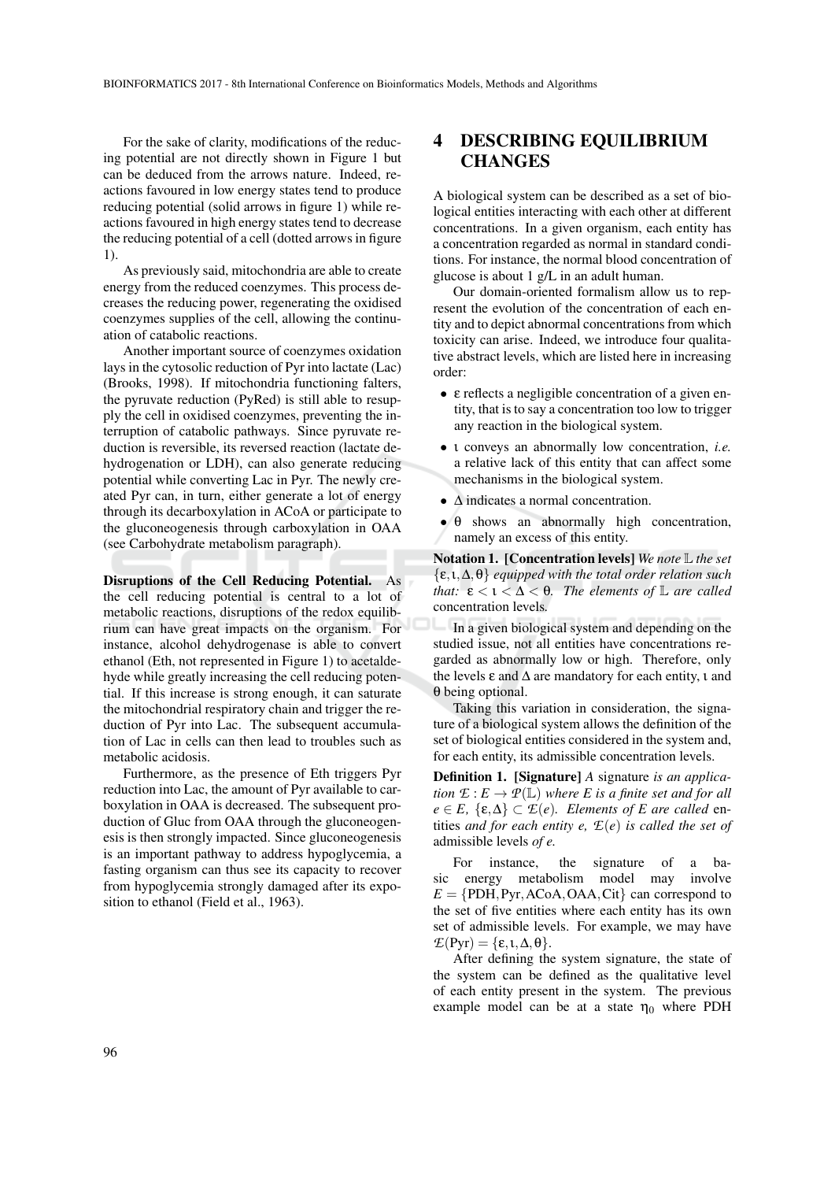For the sake of clarity, modifications of the reducing potential are not directly shown in Figure 1 but can be deduced from the arrows nature. Indeed, reactions favoured in low energy states tend to produce reducing potential (solid arrows in figure 1) while reactions favoured in high energy states tend to decrease the reducing potential of a cell (dotted arrows in figure 1).

As previously said, mitochondria are able to create energy from the reduced coenzymes. This process decreases the reducing power, regenerating the oxidised coenzymes supplies of the cell, allowing the continuation of catabolic reactions.

Another important source of coenzymes oxidation lays in the cytosolic reduction of Pyr into lactate (Lac) (Brooks, 1998). If mitochondria functioning falters, the pyruvate reduction (PyRed) is still able to resupply the cell in oxidised coenzymes, preventing the interruption of catabolic pathways. Since pyruvate reduction is reversible, its reversed reaction (lactate dehydrogenation or LDH), can also generate reducing potential while converting Lac in Pyr. The newly created Pyr can, in turn, either generate a lot of energy through its decarboxylation in ACoA or participate to the gluconeogenesis through carboxylation in OAA (see Carbohydrate metabolism paragraph).

Disruptions of the Cell Reducing Potential. As the cell reducing potential is central to a lot of metabolic reactions, disruptions of the redox equilibrium can have great impacts on the organism. For instance, alcohol dehydrogenase is able to convert ethanol (Eth, not represented in Figure 1) to acetaldehyde while greatly increasing the cell reducing potential. If this increase is strong enough, it can saturate the mitochondrial respiratory chain and trigger the reduction of Pyr into Lac. The subsequent accumulation of Lac in cells can then lead to troubles such as metabolic acidosis.

Furthermore, as the presence of Eth triggers Pyr reduction into Lac, the amount of Pyr available to carboxylation in OAA is decreased. The subsequent production of Gluc from OAA through the gluconeogenesis is then strongly impacted. Since gluconeogenesis is an important pathway to address hypoglycemia, a fasting organism can thus see its capacity to recover from hypoglycemia strongly damaged after its exposition to ethanol (Field et al., 1963).

## DESCRIBING EQUILIBRIUM **CHANGES**

A biological system can be described as a set of biological entities interacting with each other at different concentrations. In a given organism, each entity has a concentration regarded as normal in standard conditions. For instance, the normal blood concentration of glucose is about 1 g/L in an adult human.

Our domain-oriented formalism allow us to represent the evolution of the concentration of each entity and to depict abnormal concentrations from which toxicity can arise. Indeed, we introduce four qualitative abstract levels, which are listed here in increasing order:

- ε reflects a negligible concentration of a given entity, that is to say a concentration too low to trigger any reaction in the biological system.
- ι conveys an abnormally low concentration, *i.e.* a relative lack of this entity that can affect some mechanisms in the biological system.
- ∆ indicates a normal concentration.
- $\bullet$   $\theta$  shows an abnormally high concentration, namely an excess of this entity.

Notation 1. [Concentration levels] *We note* L *the set* {ε,ι,∆,θ} *equipped with the total order relation such that:*  $\epsilon < 1 < \Delta < \theta$ *. The elements of*  $\mathbb{L}$  *are called* concentration levels*.*

In a given biological system and depending on the studied issue, not all entities have concentrations regarded as abnormally low or high. Therefore, only the levels  $\varepsilon$  and  $\Delta$  are mandatory for each entity,  $\iota$  and θ being optional.

Taking this variation in consideration, the signature of a biological system allows the definition of the set of biological entities considered in the system and, for each entity, its admissible concentration levels.

Definition 1. [Signature] *A* signature *is an application*  $E: E \to \mathcal{P}(\mathbb{L})$  *where E is a finite set and for all*  $e \in E$ ,  $\{\varepsilon, \Delta\} \subset \mathcal{E}(e)$ *. Elements of E are called* entities *and for each entity e, E*(*e*) *is called the set of* admissible levels *of e.*

For instance, the signature of a basic energy metabolism model may involve  $E = \{ \text{PDH}, \text{Pyr}, \text{ACoA}, \text{OAA}, \text{Cit} \}$  can correspond to the set of five entities where each entity has its own set of admissible levels. For example, we may have  $\mathcal{L}(\text{Pyr}) = {\varepsilon, \iota, \Delta, \theta}.$ 

After defining the system signature, the state of the system can be defined as the qualitative level of each entity present in the system. The previous example model can be at a state  $\eta_0$  where PDH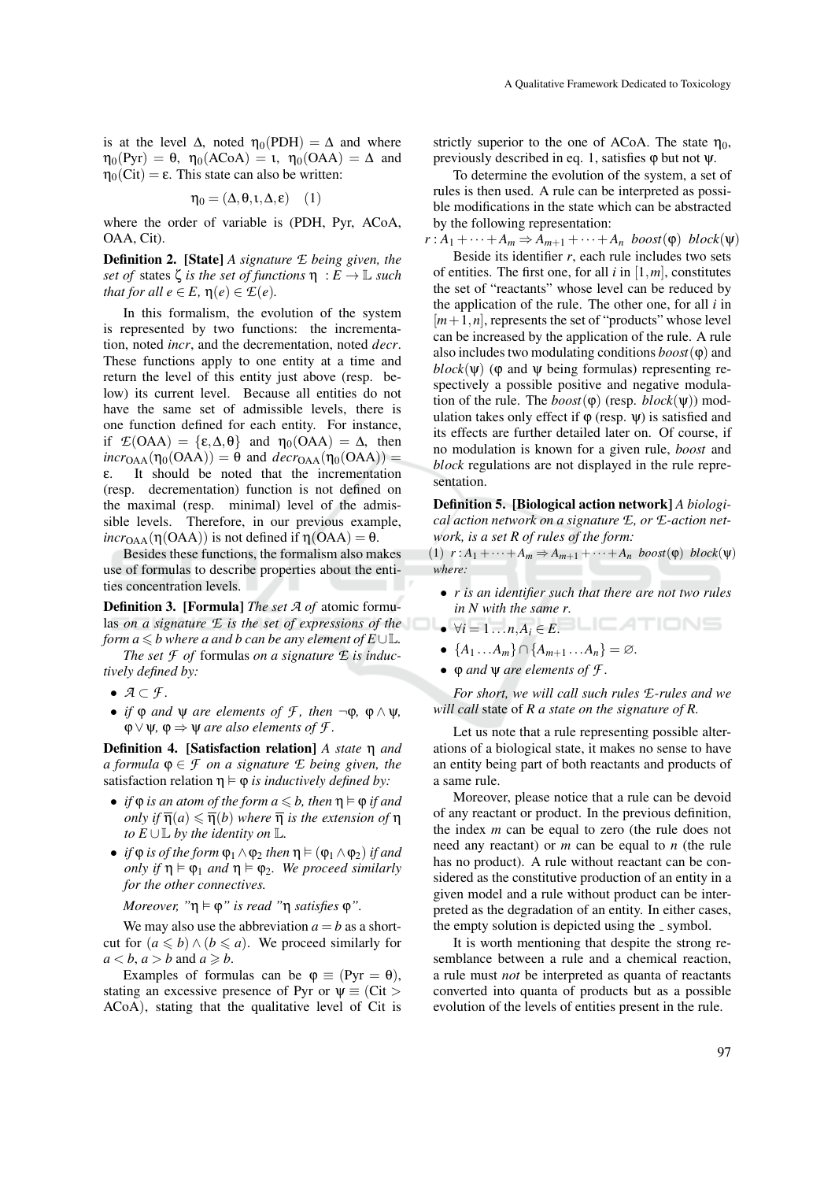is at the level  $\Delta$ , noted  $η_0(PDH) = \Delta$  and where  $\eta_0(Pyr) = \theta$ ,  $\eta_0(ACoA) = 1$ ,  $\eta_0(OAA) = \Delta$  and  $\eta_0(Cit) = \varepsilon$ . This state can also be written:

$$
\eta_0 = (\Delta, \theta, \iota, \Delta, \epsilon) \quad (1)
$$

where the order of variable is (PDH, Pyr, ACoA, OAA, Cit).

Definition 2. [State] *A signature E being given, the set of* states  $\zeta$  *is the set of functions*  $\eta : E \to \mathbb{L}$  *such that for all*  $e \in E$ ,  $\eta(e) \in \mathcal{E}(e)$ .

In this formalism, the evolution of the system is represented by two functions: the incrementation, noted *incr*, and the decrementation, noted *decr*. These functions apply to one entity at a time and return the level of this entity just above (resp. below) its current level. Because all entities do not have the same set of admissible levels, there is one function defined for each entity. For instance, if  $\mathcal{L}(\text{OAA}) = {\epsilon, \Delta, \theta}$  and  $\eta_0(\text{OAA}) = \Delta$ , then  $incr_{OAA}(\eta_0(OAA)) = \theta$  and  $decr_{OAA}(\eta_0(OAA)) =$ ε. It should be noted that the incrementation (resp. decrementation) function is not defined on the maximal (resp. minimal) level of the admissible levels. Therefore, in our previous example,  $incr<sub>OAA</sub>(η(OAA))$  is not defined if  $η(OAA) = θ$ .

Besides these functions, the formalism also makes use of formulas to describe properties about the entities concentration levels.

Definition 3. [Formula] *The set A of* atomic formulas *on a signature*  $E$  *is the set of expressions of the*  $\forall i = 1...n, A_i \in E$ .<br>form  $a \leq b$  where a and b can be any element of  $E \cup \mathbb{I}$ . *form a*  $\leq b$  *where a and b can be any element of E* ∪L.

*The set*  $\mathcal F$  *of* formulas *on a signature*  $\mathcal E$  *is inductively defined by:*

- *A* ⊂ *F .*
- *if*  $\phi$  *and*  $\psi$  *are elements of*  $\mathcal{F}$ *, then*  $\neg \phi$ *,*  $\phi \wedge \psi$ *,*  $\varphi \lor \psi$ ,  $\varphi \Rightarrow \psi$  *are also elements of f*.

Definition 4. [Satisfaction relation] *A state* η *and*  $a$  *formula*  $\varphi \in \mathcal{F}$  *on a signature*  $\mathcal{E}$  *being given, the* satisfaction relation  $\eta \models \varphi$  *is inductively defined by:* 

- *if*  $\varphi$  *is an atom of the form*  $a \leq b$ *, then*  $\eta \models \varphi$  *if and only if*  $\overline{\eta}(a) \leq \overline{\eta}(b)$  *where*  $\overline{\eta}$  *is the extension of*  $\eta$ *to*  $E \cup \mathbb{L}$  *by the identity on*  $\mathbb{L}$ *.*
- *if*  $\varphi$  *is of the form*  $\varphi_1 \wedge \varphi_2$  *then*  $\eta \models (\varphi_1 \wedge \varphi_2)$  *if and only if*  $\eta \models \varphi_1$  *and*  $\eta \models \varphi_2$ *. We proceed similarly for the other connectives.*

*Moreover,* " $\eta \models \varphi$ " *is read* " $\eta$  *satisfies*  $\varphi$ ".

We may also use the abbreviation  $a = b$  as a shortcut for  $(a \leq b) \wedge (b \leq a)$ . We proceed similarly for  $a < b$ ,  $a > b$  and  $a \geq b$ .

Examples of formulas can be  $\varphi \equiv (Pyr = \theta)$ , stating an excessive presence of Pyr or  $\psi \equiv (\text{Cit} >$ ACoA), stating that the qualitative level of Cit is strictly superior to the one of ACoA. The state  $\eta_0$ , previously described in eq. 1, satisfies  $\varphi$  but not  $\psi$ .

To determine the evolution of the system, a set of rules is then used. A rule can be interpreted as possible modifications in the state which can be abstracted by the following representation:

 $r: A_1 + \cdots + A_m \Rightarrow A_{m+1} + \cdots + A_n$  *boost*( $\varphi$ ) *block*( $\psi$ )

Beside its identifier *r*, each rule includes two sets of entities. The first one, for all *i* in [1,*m*], constitutes the set of "reactants" whose level can be reduced by the application of the rule. The other one, for all *i* in  $[m+1,n]$ , represents the set of "products" whose level can be increased by the application of the rule. A rule also includes two modulating conditions  $\mathit{boost}(\varphi)$  and  $block(\psi)$  ( $\varphi$  and  $\psi$  being formulas) representing respectively a possible positive and negative modulation of the rule. The  $boost(\varphi)$  (resp.  $block(\psi)$ ) modulation takes only effect if  $\varphi$  (resp.  $\Psi$ ) is satisfied and its effects are further detailed later on. Of course, if no modulation is known for a given rule, *boost* and *block* regulations are not displayed in the rule representation.

Definition 5. [Biological action network] *A biological action network on a signature E, or E-action network, is a set R of rules of the form:*

(1)  $r: A_1 + \cdots + A_m \Rightarrow A_{m+1} + \cdots + A_n$  *boost*( $\varphi$ ) *block*( $\psi$ ) *where:*

- *r is an identifier such that there are not two rules in N with the same r.*
- 
- $\bullet$  {*A*<sub>1</sub> ...*A*<sub>*m*</sub>} ∩ {*A*<sub>*m*+1</sub> ...*A*<sub>*n*</sub>} = ∅*.*
- ϕ *and* ψ *are elements of F .*

*For short, we will call such rules E-rules and we will call* state of *R a state on the signature of R.*

Let us note that a rule representing possible alterations of a biological state, it makes no sense to have an entity being part of both reactants and products of a same rule.

Moreover, please notice that a rule can be devoid of any reactant or product. In the previous definition, the index *m* can be equal to zero (the rule does not need any reactant) or *m* can be equal to *n* (the rule has no product). A rule without reactant can be considered as the constitutive production of an entity in a given model and a rule without product can be interpreted as the degradation of an entity. In either cases, the empty solution is depicted using the \_ symbol.

It is worth mentioning that despite the strong resemblance between a rule and a chemical reaction, a rule must *not* be interpreted as quanta of reactants converted into quanta of products but as a possible evolution of the levels of entities present in the rule.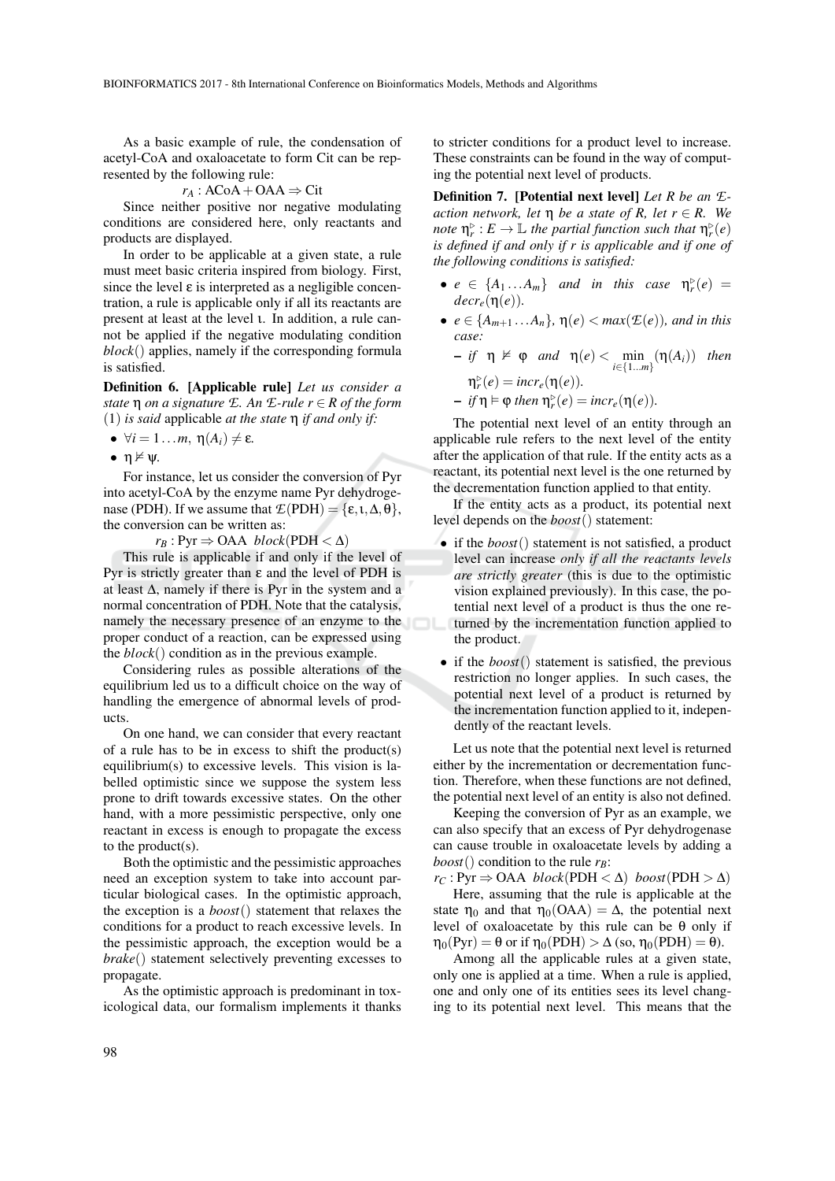As a basic example of rule, the condensation of acetyl-CoA and oxaloacetate to form Cit can be represented by the following rule:

$$
r_A: ACoA + OAA \Rightarrow Ci
$$

Since neither positive nor negative modulating conditions are considered here, only reactants and products are displayed.

In order to be applicable at a given state, a rule must meet basic criteria inspired from biology. First, since the level  $\varepsilon$  is interpreted as a negligible concentration, a rule is applicable only if all its reactants are present at least at the level ι. In addition, a rule cannot be applied if the negative modulating condition *block*() applies, namely if the corresponding formula is satisfied.

Definition 6. [Applicable rule] *Let us consider a state* η *on a signature E. An E-rule r* ∈ *R of the form* (1) *is said* applicable *at the state* η *if and only if:*

- $\forall i = 1...m, \eta(A_i) \neq \varepsilon$ .
- $\bullet$   $\eta \not\vDash \psi$ .

For instance, let us consider the conversion of Pyr into acetyl-CoA by the enzyme name Pyr dehydrogenase (PDH). If we assume that  $\mathcal{L}(PDH) = {\varepsilon, \iota, \Delta, \theta}$ , the conversion can be written as:

 $r_B$  : Pyr  $\Rightarrow$  OAA *block*(PDH  $\lt \Delta$ )

This rule is applicable if and only if the level of Pyr is strictly greater than  $ε$  and the level of PDH is at least ∆, namely if there is Pyr in the system and a normal concentration of PDH. Note that the catalysis, namely the necessary presence of an enzyme to the proper conduct of a reaction, can be expressed using the *block*() condition as in the previous example.

Considering rules as possible alterations of the equilibrium led us to a difficult choice on the way of handling the emergence of abnormal levels of products.

On one hand, we can consider that every reactant of a rule has to be in excess to shift the product(s) equilibrium(s) to excessive levels. This vision is labelled optimistic since we suppose the system less prone to drift towards excessive states. On the other hand, with a more pessimistic perspective, only one reactant in excess is enough to propagate the excess to the product(s).

Both the optimistic and the pessimistic approaches need an exception system to take into account particular biological cases. In the optimistic approach, the exception is a *boost*() statement that relaxes the conditions for a product to reach excessive levels. In the pessimistic approach, the exception would be a *brake*() statement selectively preventing excesses to propagate.

As the optimistic approach is predominant in toxicological data, our formalism implements it thanks

to stricter conditions for a product level to increase. These constraints can be found in the way of computing the potential next level of products.

Definition 7. [Potential next level] *Let R be an Eaction network, let*  $\eta$  *be a state of R, let*  $r \in R$ *. We note*  $\eta_r^{\rhd}$  *:*  $E \to \mathbb{L}$  *the partial function such that*  $\eta_r^{\rhd}(e)$ *is defined if and only if r is applicable and if one of the following conditions is satisfied:*

- $e \in \{A_1...A_m\}$  *and in this case*  $\eta_r^{\triangleright}(e) =$  $decr_e(\eta(e))$ .
- $e \in \{A_{m+1} \ldots A_n\}$ ,  $\eta(e) < \max(\mathcal{E}(e))$ *, and in this case:*

$$
- if \eta \nvDash \varphi \text{ and } \eta(e) < \min_{i \in \{1...m\}} (\eta(A_i)) \text{ then}
$$

$$
\eta_r^{\triangleright}(e) = \text{incr}_e(\eta(e)).
$$

$$
- if \eta \vDash \varphi then \eta_r^{\triangleright}(e) = incr_e(\eta(e)).
$$

The potential next level of an entity through an applicable rule refers to the next level of the entity after the application of that rule. If the entity acts as a reactant, its potential next level is the one returned by the decrementation function applied to that entity.

If the entity acts as a product, its potential next level depends on the *boost*() statement:

- if the *boost*() statement is not satisfied, a product level can increase *only if all the reactants levels are strictly greater* (this is due to the optimistic vision explained previously). In this case, the potential next level of a product is thus the one returned by the incrementation function applied to the product.
- if the *boost*() statement is satisfied, the previous restriction no longer applies. In such cases, the potential next level of a product is returned by the incrementation function applied to it, independently of the reactant levels.

Let us note that the potential next level is returned either by the incrementation or decrementation function. Therefore, when these functions are not defined, the potential next level of an entity is also not defined.

Keeping the conversion of Pyr as an example, we can also specify that an excess of Pyr dehydrogenase can cause trouble in oxaloacetate levels by adding a *boost*() condition to the rule  $r_B$ :

 $r_C$ : Pyr  $\Rightarrow$  OAA *block*(PDH <  $\triangle$ ) *boost*(PDH >  $\triangle$ )

Here, assuming that the rule is applicable at the state  $\eta_0$  and that  $\eta_0(OAA) = \Delta$ , the potential next level of oxaloacetate by this rule can be θ only if  $\eta_0(Pyr) = \theta$  or if  $\eta_0(PDH) > \Delta$  (so,  $\eta_0(PDH) = \theta$ ).

Among all the applicable rules at a given state, only one is applied at a time. When a rule is applied, one and only one of its entities sees its level changing to its potential next level. This means that the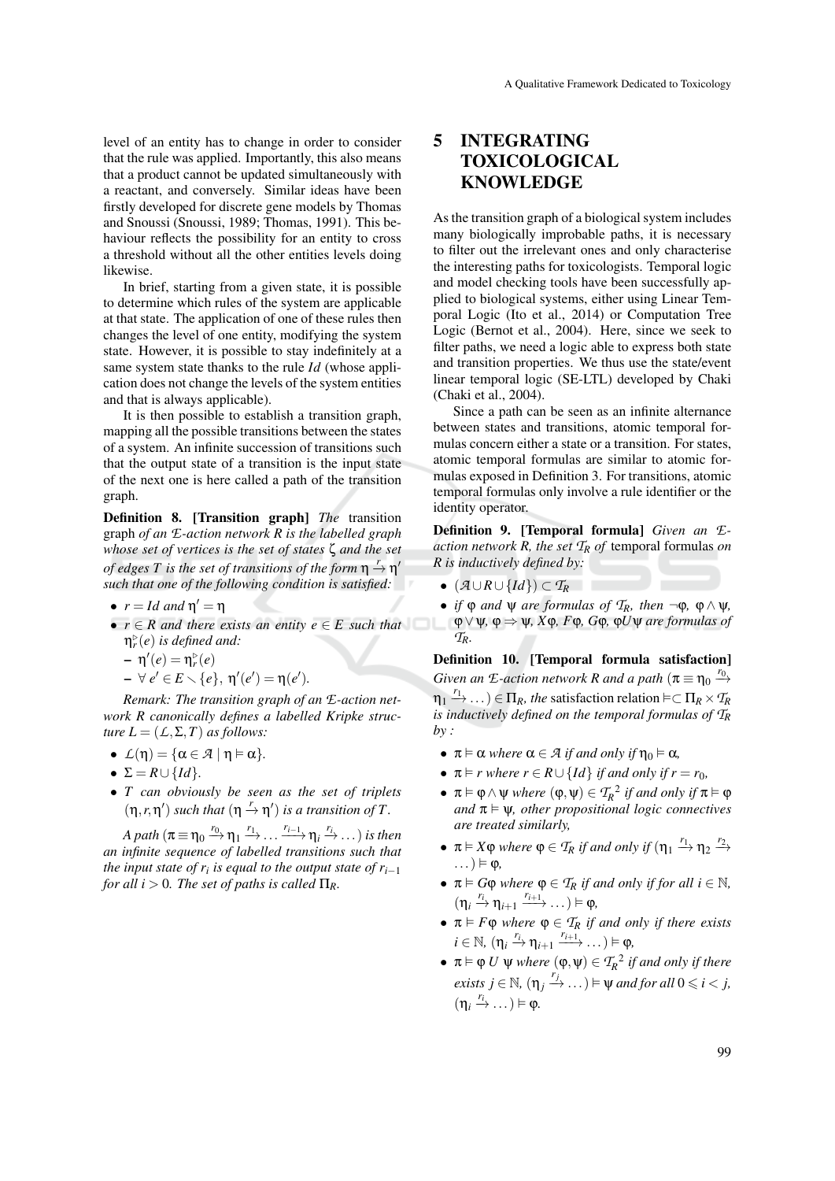level of an entity has to change in order to consider that the rule was applied. Importantly, this also means that a product cannot be updated simultaneously with a reactant, and conversely. Similar ideas have been firstly developed for discrete gene models by Thomas and Snoussi (Snoussi, 1989; Thomas, 1991). This behaviour reflects the possibility for an entity to cross a threshold without all the other entities levels doing likewise.

In brief, starting from a given state, it is possible to determine which rules of the system are applicable at that state. The application of one of these rules then changes the level of one entity, modifying the system state. However, it is possible to stay indefinitely at a same system state thanks to the rule *Id* (whose application does not change the levels of the system entities and that is always applicable).

It is then possible to establish a transition graph, mapping all the possible transitions between the states of a system. An infinite succession of transitions such that the output state of a transition is the input state of the next one is here called a path of the transition graph.

Definition 8. [Transition graph] *The* transition graph *of an E-action network R is the labelled graph whose set of vertices is the set of states* ζ *and the set of edges T is the set of transitions of the form*  $\eta \stackrel{r}{\rightarrow} \eta'$ *such that one of the following condition is satisfied:*

- $\bullet$   $r = Id$  and  $\eta' = \eta$
- *r* ∈ *R and there exists an entity e* ∈ *E such that* η . *r* (*e*) *is defined and:*

$$
- \eta'(e) = \eta_r^{\triangleright}(e)
$$

 $- \forall e' \in E \setminus \{e\}, \ \eta'(e') = \eta(e').$ 

*Remark: The transition graph of an E-action network R canonically defines a labelled Kripke structure*  $L = (L, \Sigma, T)$  *as follows:* 

- $L(\eta) = {\alpha \in \mathcal{A} \mid \eta \models \alpha}.$
- $\Sigma = R \cup \{Id\}.$
- *T can obviously be seen as the set of triplets*  $(\eta, r, \eta')$  *such that*  $(\eta \stackrel{r}{\rightarrow} \eta')$  *is a transition of T*.

 $A$  path  $(\pi \equiv \eta_0 \stackrel{r_0}{\longrightarrow} \eta_1 \stackrel{r_1}{\longrightarrow} \ldots \stackrel{r_{i-1}}{\longrightarrow} \eta_i \stackrel{r_i}{\longrightarrow} \ldots)$  *is then an infinite sequence of labelled transitions such that the input state of r<sub>i</sub> is equal to the output state of r*<sub>*i*−1</sub> *for all i*  $> 0$ *. The set of paths is called*  $\Pi_R$ *.* 

## 5 INTEGRATING TOXICOLOGICAL **KNOWLEDGE**

As the transition graph of a biological system includes many biologically improbable paths, it is necessary to filter out the irrelevant ones and only characterise the interesting paths for toxicologists. Temporal logic and model checking tools have been successfully applied to biological systems, either using Linear Temporal Logic (Ito et al., 2014) or Computation Tree Logic (Bernot et al., 2004). Here, since we seek to filter paths, we need a logic able to express both state and transition properties. We thus use the state/event linear temporal logic (SE-LTL) developed by Chaki (Chaki et al., 2004).

Since a path can be seen as an infinite alternance between states and transitions, atomic temporal formulas concern either a state or a transition. For states, atomic temporal formulas are similar to atomic formulas exposed in Definition 3. For transitions, atomic temporal formulas only involve a rule identifier or the identity operator.

Definition 9. [Temporal formula] *Given an Eaction network R, the set T<sup>R</sup> of* temporal formulas *on R is inductively defined by:*

- $\bullet$  ( $\mathcal{A} \cup R \cup \{Id\}$ ) ⊂  $\mathcal{T}_R$
- *if*  $\varphi$  *and*  $\psi$  *are formulas of*  $T_R$ *, then*  $\neg \varphi$ *,*  $\varphi \wedge \psi$ *,* ϕ∨ψ*,* ϕ ⇒ ψ*, X*ϕ*, F*ϕ*, G*ϕ*,* ϕ*U*ψ *are formulas of TR.*

Definition 10. [Temporal formula satisfaction] *Given an E-action network R and a path*  $(\pi \equiv \eta_0 \stackrel{r_0}{\rightarrow}$  $m_1 \xrightarrow{r_1} \ldots$ )  $\in \Pi_R$ *, the* satisfaction relation  $\models \subset \Pi_R \times T_R$ *is inductively defined on the temporal formulas of T<sup>R</sup> by :*

- $\pi \models \alpha$  *where*  $\alpha \in \mathcal{A}$  *if and only if*  $\eta_0 \models \alpha$ *,*
- $\pi \models r$  where  $r \in R \cup \{Id\}$  *if and only if*  $r = r_0$ *,*
- $\pi \models \varphi \land \psi$  *where*  $(\varphi, \psi) \in T_R^2$  *if and only if*  $\pi \models \varphi$ *and*  $\pi \models \psi$ *, other propositional logic connectives are treated similarly,*
- $\pi \models X \varphi$  *where*  $\varphi \in \mathcal{T}_R$  *if and only if*  $(\eta_1 \stackrel{r_1}{\longrightarrow} \eta_2 \stackrel{r_2}{\longrightarrow}$  $\ldots$ )  $\models \phi$ ,
- $\pi \models G\varphi$  *where*  $\varphi \in T_R$  *if and only if for all*  $i \in \mathbb{N}$ *,*  $(\eta_i \stackrel{r_i}{\rightarrow} \eta_{i+1} \stackrel{r_{i+1}}{\longrightarrow} \dots) \models \varphi,$
- $\bullet$   $\pi \vDash F\varphi$  *where*  $\varphi \in \mathcal{T}_R$  *if and only if there exists*  $i \in \mathbb{N}, (\eta_i \stackrel{r_i}{\rightarrow} \eta_{i+1} \stackrel{r_{i+1}}{\longrightarrow} \dots) \vDash \varphi,$
- $\bullet \ \pi \vDash \varphi \ U \ \psi \ where \ (\varphi, \psi) \in \mathcal{T}_R^2 \ if and only if there$ *exists*  $j \in \mathbb{N}$ ,  $(\eta_j \stackrel{r_j}{\to} \dots) \models \psi$  *and for all*  $0 \leq i < j$ ,  $(\eta_i \stackrel{r_i}{\rightarrow} \dots) \models \varphi.$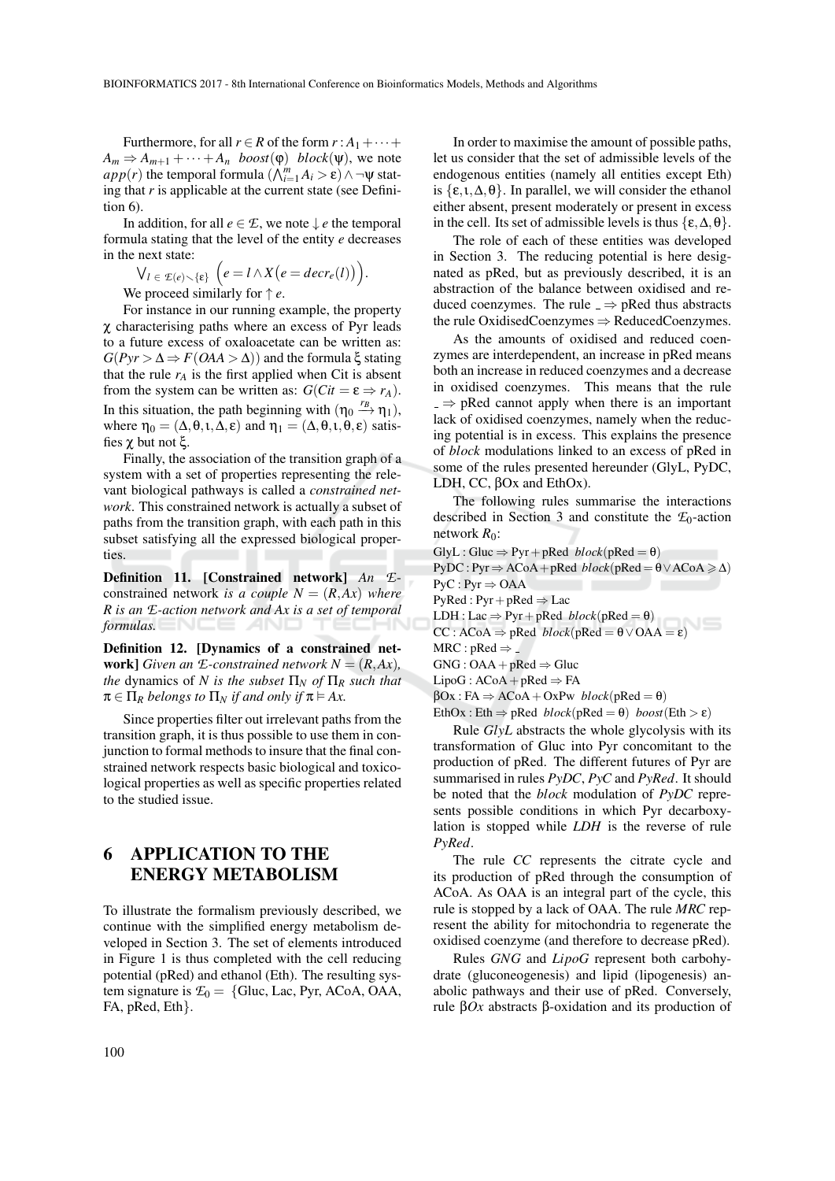Furthermore, for all  $r \in R$  of the form  $r : A_1 + \cdots +$  $A_m \Rightarrow A_{m+1} + \cdots + A_n$  *boost*( $\varphi$ ) *block*( $\psi$ ), we note  $app(r)$  the temporal formula  $(\bigwedge_{i=1}^{m} A_i > \varepsilon) \wedge \neg \psi$  stating that *r* is applicable at the current state (see Definition 6).

In addition, for all  $e \in \mathcal{E}$ , we note  $\downarrow e$  the temporal formula stating that the level of the entity *e* decreases in the next state:

$$
\bigvee_{l \in \mathcal{E}(e) \setminus \{ \varepsilon \}} \left( e = l \wedge X(e = decr_e(l)) \right).
$$

We proceed similarly for ↑ *e*.

For instance in our running example, the property χ characterising paths where an excess of Pyr leads to a future excess of oxaloacetate can be written as:  $G(Pyr > Δ ⇒ F(OAA > Δ))$  and the formula ξ stating that the rule  $r_A$  is the first applied when Cit is absent from the system can be written as:  $G(Cit = \varepsilon \Rightarrow r_A)$ . In this situation, the path beginning with  $(\eta_0 \stackrel{r_B}{\rightarrow} \eta_1)$ , where  $\eta_0 = (\Delta, \theta, \iota, \Delta, \varepsilon)$  and  $\eta_1 = (\Delta, \theta, \iota, \theta, \varepsilon)$  satisfies χ but not ξ.

Finally, the association of the transition graph of a system with a set of properties representing the relevant biological pathways is called a *constrained network*. This constrained network is actually a subset of paths from the transition graph, with each path in this subset satisfying all the expressed biological properties.

Definition 11. [Constrained network] *An E*constrained network *is a couple*  $N = (R, Ax)$  *where R is an E-action network and Ax is a set of temporal formulas.*

Definition 12. [Dynamics of a constrained net**work**] *Given an*  $E$ *-constrained network*  $N = (R, Ax)$ *, the* dynamics of *N is the subset*  $\Pi_N$  *of*  $\Pi_R$  *such that*  $\pi \in \Pi_R$  *belongs to*  $\Pi_N$  *if and only if*  $\pi \models Ax$ .

Since properties filter out irrelevant paths from the transition graph, it is thus possible to use them in conjunction to formal methods to insure that the final constrained network respects basic biological and toxicological properties as well as specific properties related to the studied issue.

# 6 APPLICATION TO THE ENERGY METABOLISM

To illustrate the formalism previously described, we continue with the simplified energy metabolism developed in Section 3. The set of elements introduced in Figure 1 is thus completed with the cell reducing potential (pRed) and ethanol (Eth). The resulting system signature is  $\mathcal{L}_0 = \{$ Gluc, Lac, Pyr, ACoA, OAA, FA, pRed, Eth}.

In order to maximise the amount of possible paths, let us consider that the set of admissible levels of the endogenous entities (namely all entities except Eth) is  $\{\varepsilon, \iota, \Delta, \theta\}$ . In parallel, we will consider the ethanol either absent, present moderately or present in excess in the cell. Its set of admissible levels is thus  $\{\epsilon, \Delta, \theta\}.$ 

The role of each of these entities was developed in Section 3. The reducing potential is here designated as pRed, but as previously described, it is an abstraction of the balance between oxidised and reduced coenzymes. The rule  $\Rightarrow$  pRed thus abstracts the rule OxidisedCoenzymes ⇒ ReducedCoenzymes.

As the amounts of oxidised and reduced coenzymes are interdependent, an increase in pRed means both an increase in reduced coenzymes and a decrease in oxidised coenzymes. This means that the rule  $\Rightarrow$  pRed cannot apply when there is an important lack of oxidised coenzymes, namely when the reducing potential is in excess. This explains the presence of *block* modulations linked to an excess of pRed in some of the rules presented hereunder (GlyL, PyDC, LDH, CC, βOx and EthOx).

The following rules summarise the interactions described in Section 3 and constitute the  $E_0$ -action network  $R_0$ :

 $GlyL : Gluc \Rightarrow Pyr + pRed \ block(pRed = \theta)$  $PyDC: Pyr \Rightarrow ACoA + pRed \ block(pRed = \theta \vee ACoA \ge \Delta)$  $PyC : Pyr \Rightarrow OAA$ PyRed : Pyr + pRed  $\Rightarrow$  Lac<br>LDH : Lac  $\Rightarrow$  Pyr + pRed *block*(pRed =  $\theta$ ) LDH : Lac  $\Rightarrow$  Pyr + pRed *block*(pRed =  $\theta$ )  $CC: ACoA \Rightarrow pRed \ block(pRed = \theta \vee OAA = \epsilon)$  $MRC : pRed \Rightarrow .$  $GNG: OAA + pRed \Rightarrow Gluc$  $LipoG: ACoA + pRed \Rightarrow FA$  $\beta$ Ox : FA  $\Rightarrow$  ACoA + OxPw *block*(pRed =  $\theta$ ) EthOx : Eth  $\Rightarrow$  pRed *block*(pRed =  $\theta$ ) *boost*(Eth >  $\varepsilon$ )

Rule *GlyL* abstracts the whole glycolysis with its transformation of Gluc into Pyr concomitant to the production of pRed. The different futures of Pyr are summarised in rules *PyDC*, *PyC* and *PyRed*. It should be noted that the *block* modulation of *PyDC* represents possible conditions in which Pyr decarboxylation is stopped while *LDH* is the reverse of rule *PyRed*.

The rule *CC* represents the citrate cycle and its production of pRed through the consumption of ACoA. As OAA is an integral part of the cycle, this rule is stopped by a lack of OAA. The rule *MRC* represent the ability for mitochondria to regenerate the oxidised coenzyme (and therefore to decrease pRed).

Rules *GNG* and *LipoG* represent both carbohydrate (gluconeogenesis) and lipid (lipogenesis) anabolic pathways and their use of pRed. Conversely, rule β*Ox* abstracts β-oxidation and its production of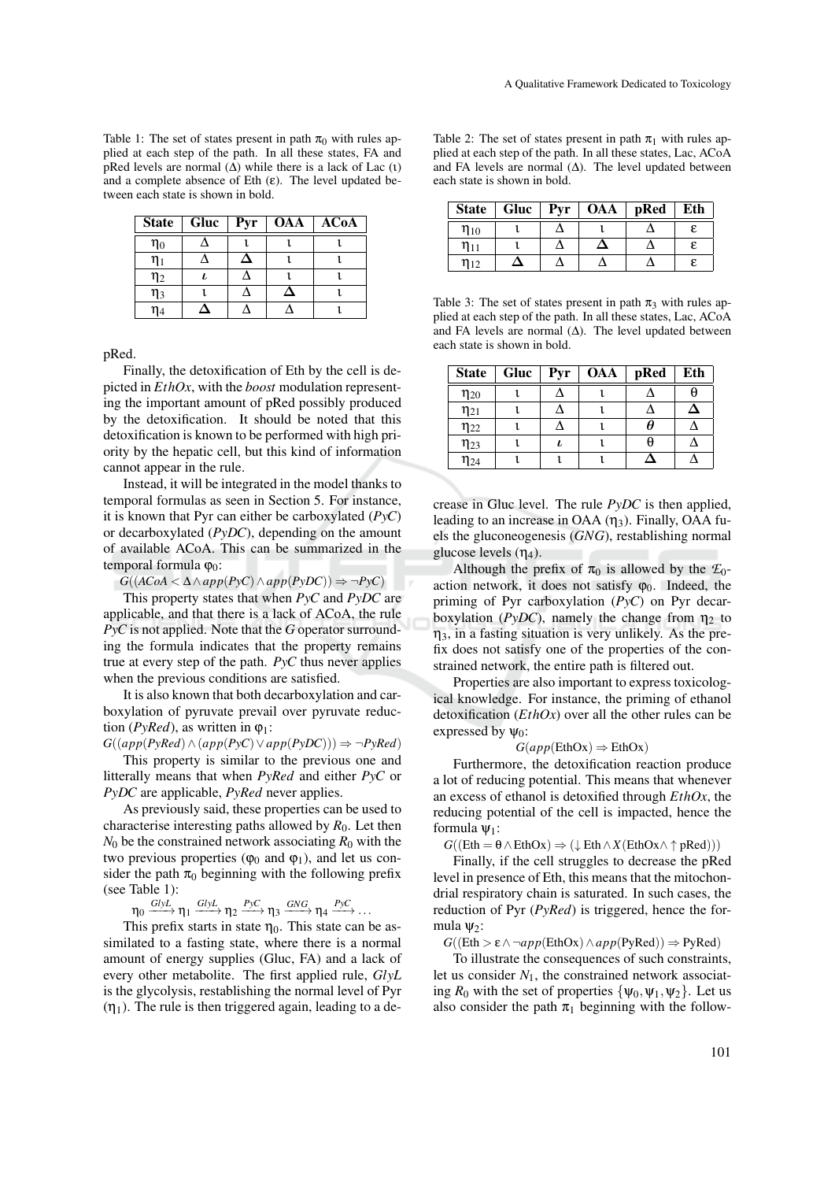Table 1: The set of states present in path  $\pi_0$  with rules applied at each step of the path. In all these states, FA and pRed levels are normal  $(\Delta)$  while there is a lack of Lac (ι) and a complete absence of Eth  $(\varepsilon)$ . The level updated between each state is shown in bold.

|          | State $\vert$ Gluc | Pyr | <b>OAA</b> | <b>ACoA</b> |
|----------|--------------------|-----|------------|-------------|
| $\eta_0$ |                    |     |            |             |
| $\eta_1$ |                    | Δ   |            |             |
| $\eta_2$ |                    |     |            |             |
| $\eta_3$ |                    |     |            |             |
| $\eta_4$ |                    |     |            |             |

pRed.

Finally, the detoxification of Eth by the cell is depicted in *EthOx*, with the *boost* modulation representing the important amount of pRed possibly produced by the detoxification. It should be noted that this detoxification is known to be performed with high priority by the hepatic cell, but this kind of information cannot appear in the rule.

Instead, it will be integrated in the model thanks to temporal formulas as seen in Section 5. For instance, it is known that Pyr can either be carboxylated (*PyC*) or decarboxylated (*PyDC*), depending on the amount of available ACoA. This can be summarized in the temporal formula  $φ_0$ :

 $G((ACoA < ∆ ∧ app(PyC) ∧ app(PyDC)) ⇒ ¬PyC)$ 

This property states that when *PyC* and *PyDC* are applicable, and that there is a lack of ACoA, the rule *PyC* is not applied. Note that the *G* operator surrounding the formula indicates that the property remains true at every step of the path. *PyC* thus never applies when the previous conditions are satisfied.

It is also known that both decarboxylation and carboxylation of pyruvate prevail over pyruvate reduction ( $PyRed$ ), as written in  $\varphi_1$ :

*G*((*app*(*PyRed*)∧(*app*(*PyC*)∨*app*(*PyDC*))) ⇒ ¬*PyRed*)

This property is similar to the previous one and litterally means that when *PyRed* and either *PyC* or *PyDC* are applicable, *PyRed* never applies.

As previously said, these properties can be used to characterise interesting paths allowed by  $R_0$ . Let then  $N_0$  be the constrained network associating  $R_0$  with the two previous properties ( $\varphi_0$  and  $\varphi_1$ ), and let us consider the path  $\pi_0$  beginning with the following prefix (see Table 1):

 $\eta_0 \xrightarrow{GlyL} \eta_1 \xrightarrow{GlyL} \eta_2 \xrightarrow{PyC} \eta_3 \xrightarrow{GNG} \eta_4 \xrightarrow{PyC} \dots$ 

This prefix starts in state  $\eta_0$ . This state can be assimilated to a fasting state, where there is a normal amount of energy supplies (Gluc, FA) and a lack of every other metabolite. The first applied rule, *GlyL* is the glycolysis, restablishing the normal level of Pyr  $(\eta_1)$ . The rule is then triggered again, leading to a de-

Table 2: The set of states present in path  $\pi_1$  with rules applied at each step of the path. In all these states, Lac, ACoA and FA levels are normal  $(∆)$ . The level updated between each state is shown in bold.

|                     |  | State   Gluc   Pyr   OAA | pRed | Eth |
|---------------------|--|--------------------------|------|-----|
| $\eta_{10}$         |  |                          |      |     |
| $\mathfrak{y}_{11}$ |  | <u>⁄ ।</u>               |      |     |
| $\eta_{12}$         |  |                          |      |     |

Table 3: The set of states present in path  $\pi_3$  with rules applied at each step of the path. In all these states, Lac, ACoA and FA levels are normal  $(∆)$ . The level updated between each state is shown in bold.

| <b>State</b> | Gluc $\vert$ | <b>Pyr</b> | <b>OAA</b> | pRed | Eth |
|--------------|--------------|------------|------------|------|-----|
| $\eta_{20}$  |              |            |            |      |     |
| $\eta_{21}$  |              |            |            |      |     |
| $\eta_{22}$  |              |            |            |      |     |
| $\eta_{23}$  |              | ı          |            |      |     |
| $\eta_{24}$  |              |            |            |      |     |

crease in Gluc level. The rule *PyDC* is then applied, leading to an increase in OAA  $(\eta_3)$ . Finally, OAA fuels the gluconeogenesis (*GNG*), restablishing normal glucose levels  $(\eta_4)$ .

Although the prefix of  $\pi_0$  is allowed by the  $\mathcal{F}_0$ action network, it does not satisfy  $\varphi_0$ . Indeed, the priming of Pyr carboxylation (*PyC*) on Pyr decarboxylation ( $PyDC$ ), namely the change from  $\eta_2$  to  $\eta_3$ , in a fasting situation is very unlikely. As the prefix does not satisfy one of the properties of the constrained network, the entire path is filtered out.

Properties are also important to express toxicological knowledge. For instance, the priming of ethanol detoxification (*EthOx*) over all the other rules can be expressed by  $\Psi_0$ :

#### $G(app(EthOx) \Rightarrow EthOx)$

Furthermore, the detoxification reaction produce a lot of reducing potential. This means that whenever an excess of ethanol is detoxified through *EthOx*, the reducing potential of the cell is impacted, hence the formula  $\psi_1$ :

 $G((\text{Eth} = \theta \wedge \text{EthOx}) \Rightarrow (\downarrow \text{Eth} \wedge X(\text{EthOx} \wedge \uparrow \text{pRed})))$ 

Finally, if the cell struggles to decrease the pRed level in presence of Eth, this means that the mitochondrial respiratory chain is saturated. In such cases, the reduction of Pyr (*PyRed*) is triggered, hence the formula  $\Psi_2$ :

 $G((\text{Eth} > \varepsilon \land \neg app(\text{EthOx}) \land app(\text{PyRed})) \Rightarrow \text{PyRed})$ 

To illustrate the consequences of such constraints, let us consider  $N_1$ , the constrained network associating  $R_0$  with the set of properties  $\{\psi_0, \psi_1, \psi_2\}$ . Let us also consider the path  $\pi_1$  beginning with the follow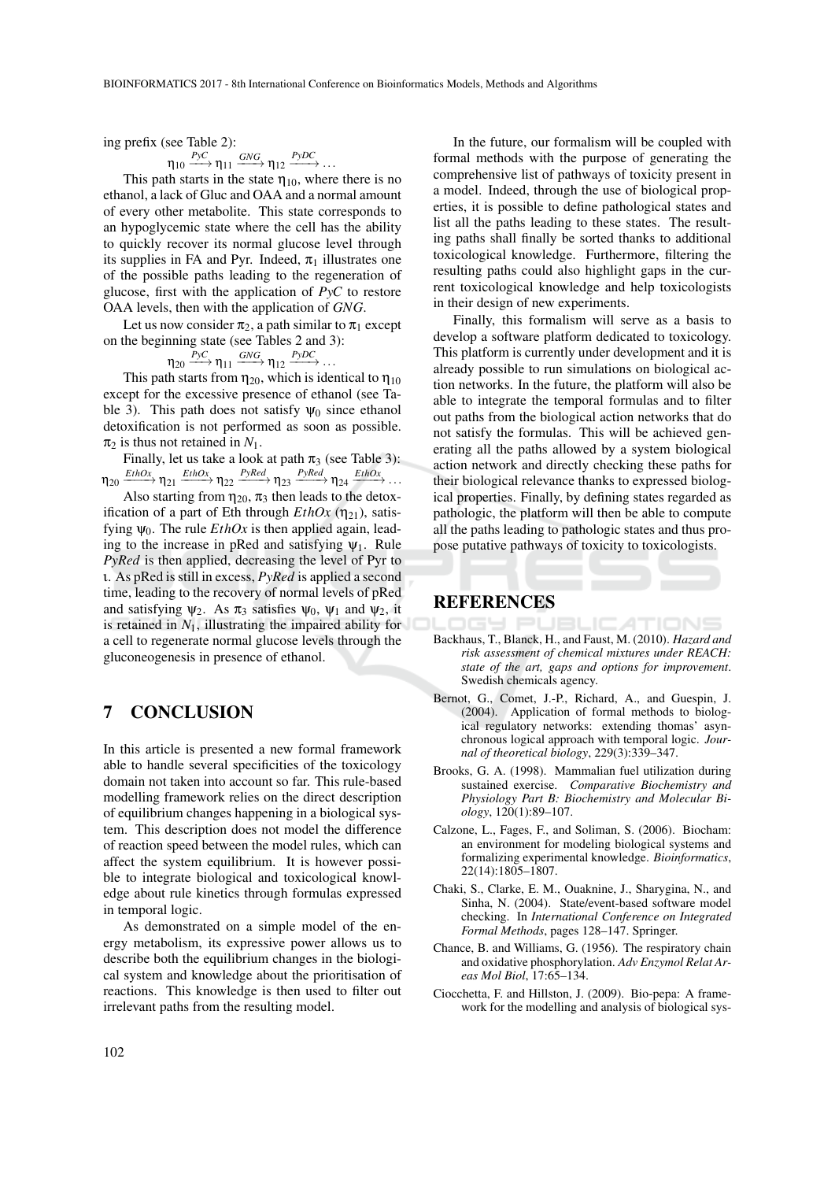ing prefix (see Table 2):

$$
\eta_{10} \xrightarrow{PyC} \eta_{11} \xrightarrow{GNG} \eta_{12} \xrightarrow{PyDC} \dots
$$

This path starts in the state  $\eta_{10}$ , where there is no ethanol, a lack of Gluc and OAA and a normal amount of every other metabolite. This state corresponds to an hypoglycemic state where the cell has the ability to quickly recover its normal glucose level through its supplies in FA and Pyr. Indeed,  $\pi_1$  illustrates one of the possible paths leading to the regeneration of glucose, first with the application of *PyC* to restore OAA levels, then with the application of *GNG*.

Let us now consider  $\pi_2$ , a path similar to  $\pi_1$  except on the beginning state (see Tables 2 and 3):

$$
\eta_{20} \xrightarrow{PyC} \eta_{11} \xrightarrow{GNG} \eta_{12} \xrightarrow{PyDC} \dots
$$

This path starts from  $\eta_{20}$ , which is identical to  $\eta_{10}$ except for the excessive presence of ethanol (see Table 3). This path does not satisfy  $\Psi_0$  since ethanol detoxification is not performed as soon as possible.  $\pi_2$  is thus not retained in  $N_1$ .

Finally, let us take a look at path  $\pi_3$  (see Table 3):  $\eta_{20}$  $\downarrow$  *EthOx*  $\rightharpoonup$   $\eta_{21}$  *EthOx*  $\rightharpoonup$   $\eta_{22}$  *PyRed*  $\rightharpoonup$   $\eta_{23}$  *PyRed*  $\rightharpoonup$   $\rightharpoonup$   $\eta_{24}$  *EthOx*  $\rightharpoonup$  ...

Also starting from  $\eta_{20}$ ,  $\pi_3$  then leads to the detoxification of a part of Eth through  $EthOx$  ( $\eta_{21}$ ), satisfying  $\psi_0$ . The rule  $EthOx$  is then applied again, leading to the increase in pRed and satisfying  $\psi_1$ . Rule *PyRed* is then applied, decreasing the level of Pyr to ι. As pRed is still in excess, *PyRed* is applied a second time, leading to the recovery of normal levels of pRed and satisfying  $\psi_2$ . As  $\pi_3$  satisfies  $\psi_0$ ,  $\psi_1$  and  $\psi_2$ , it is retained in  $N_1$ , illustrating the impaired ability for a cell to regenerate normal glucose levels through the gluconeogenesis in presence of ethanol.

#### 7 CONCLUSION

In this article is presented a new formal framework able to handle several specificities of the toxicology domain not taken into account so far. This rule-based modelling framework relies on the direct description of equilibrium changes happening in a biological system. This description does not model the difference of reaction speed between the model rules, which can affect the system equilibrium. It is however possible to integrate biological and toxicological knowledge about rule kinetics through formulas expressed in temporal logic.

As demonstrated on a simple model of the energy metabolism, its expressive power allows us to describe both the equilibrium changes in the biological system and knowledge about the prioritisation of reactions. This knowledge is then used to filter out irrelevant paths from the resulting model.

In the future, our formalism will be coupled with formal methods with the purpose of generating the comprehensive list of pathways of toxicity present in a model. Indeed, through the use of biological properties, it is possible to define pathological states and list all the paths leading to these states. The resulting paths shall finally be sorted thanks to additional toxicological knowledge. Furthermore, filtering the resulting paths could also highlight gaps in the current toxicological knowledge and help toxicologists in their design of new experiments.

Finally, this formalism will serve as a basis to develop a software platform dedicated to toxicology. This platform is currently under development and it is already possible to run simulations on biological action networks. In the future, the platform will also be able to integrate the temporal formulas and to filter out paths from the biological action networks that do not satisfy the formulas. This will be achieved generating all the paths allowed by a system biological action network and directly checking these paths for their biological relevance thanks to expressed biological properties. Finally, by defining states regarded as pathologic, the platform will then be able to compute all the paths leading to pathologic states and thus propose putative pathways of toxicity to toxicologists.

#### REFERENCES

- Backhaus, T., Blanck, H., and Faust, M. (2010). *Hazard and risk assessment of chemical mixtures under REACH: state of the art, gaps and options for improvement*. Swedish chemicals agency.
- Bernot, G., Comet, J.-P., Richard, A., and Guespin, J. (2004). Application of formal methods to biological regulatory networks: extending thomas' asynchronous logical approach with temporal logic. *Journal of theoretical biology*, 229(3):339–347.
- Brooks, G. A. (1998). Mammalian fuel utilization during sustained exercise. *Comparative Biochemistry and Physiology Part B: Biochemistry and Molecular Biology*, 120(1):89–107.
- Calzone, L., Fages, F., and Soliman, S. (2006). Biocham: an environment for modeling biological systems and formalizing experimental knowledge. *Bioinformatics*, 22(14):1805–1807.
- Chaki, S., Clarke, E. M., Ouaknine, J., Sharygina, N., and Sinha, N. (2004). State/event-based software model checking. In *International Conference on Integrated Formal Methods*, pages 128–147. Springer.
- Chance, B. and Williams, G. (1956). The respiratory chain and oxidative phosphorylation. *Adv Enzymol Relat Areas Mol Biol*, 17:65–134.
- Ciocchetta, F. and Hillston, J. (2009). Bio-pepa: A framework for the modelling and analysis of biological sys-